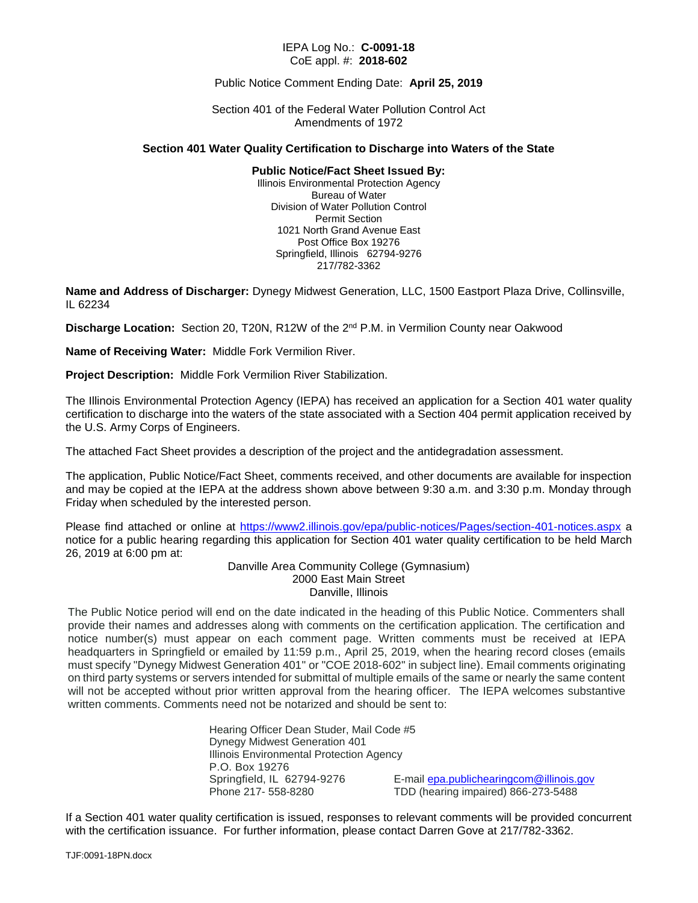#### IEPA Log No.: **C-0091-18** CoE appl. #: **2018-602**

#### Public Notice Comment Ending Date: **April 25, 2019**

Section 401 of the Federal Water Pollution Control Act Amendments of 1972

#### **Section 401 Water Quality Certification to Discharge into Waters of the State**

#### **Public Notice/Fact Sheet Issued By:**

Illinois Environmental Protection Agency Bureau of Water Division of Water Pollution Control Permit Section 1021 North Grand Avenue East Post Office Box 19276 Springfield, Illinois 62794-9276 217/782-3362

**Name and Address of Discharger:** Dynegy Midwest Generation, LLC, 1500 Eastport Plaza Drive, Collinsville, IL 62234

**Discharge Location:** Section 20, T20N, R12W of the 2nd P.M. in Vermilion County near Oakwood

**Name of Receiving Water:** Middle Fork Vermilion River.

**Project Description:** Middle Fork Vermilion River Stabilization.

The Illinois Environmental Protection Agency (IEPA) has received an application for a Section 401 water quality certification to discharge into the waters of the state associated with a Section 404 permit application received by the U.S. Army Corps of Engineers.

The attached Fact Sheet provides a description of the project and the antidegradation assessment.

The application, Public Notice/Fact Sheet, comments received, and other documents are available for inspection and may be copied at the IEPA at the address shown above between 9:30 a.m. and 3:30 p.m. Monday through Friday when scheduled by the interested person.

Please find attached or online at<https://www2.illinois.gov/epa/public-notices/Pages/section-401-notices.aspx> a notice for a public hearing regarding this application for Section 401 water quality certification to be held March 26, 2019 at 6:00 pm at:

> Danville Area Community College (Gymnasium) 2000 East Main Street Danville, Illinois

The Public Notice period will end on the date indicated in the heading of this Public Notice. Commenters shall provide their names and addresses along with comments on the certification application. The certification and notice number(s) must appear on each comment page. Written comments must be received at IEPA headquarters in Springfield or emailed by 11:59 p.m., April 25, 2019, when the hearing record closes (emails must specify "Dynegy Midwest Generation 401" or "COE 2018-602" in subject line). Email comments originating on third party systems or servers intended for submittal of multiple emails of the same or nearly the same content will not be accepted without prior written approval from the hearing officer. The IEPA welcomes substantive written comments. Comments need not be notarized and should be sent to:

> Hearing Officer Dean Studer, Mail Code #5 Dynegy Midwest Generation 401 Illinois Environmental Protection Agency P.O. Box 19276 Springfield, IL 62794-9276 E-mail **epa.publichearingcom@illinois.gov**<br>Phone 217- 558-8280 TDD (hearing impaired) 866-273-5488

TDD (hearing impaired) 866-273-5488

If a Section 401 water quality certification is issued, responses to relevant comments will be provided concurrent with the certification issuance. For further information, please contact Darren Gove at 217/782-3362.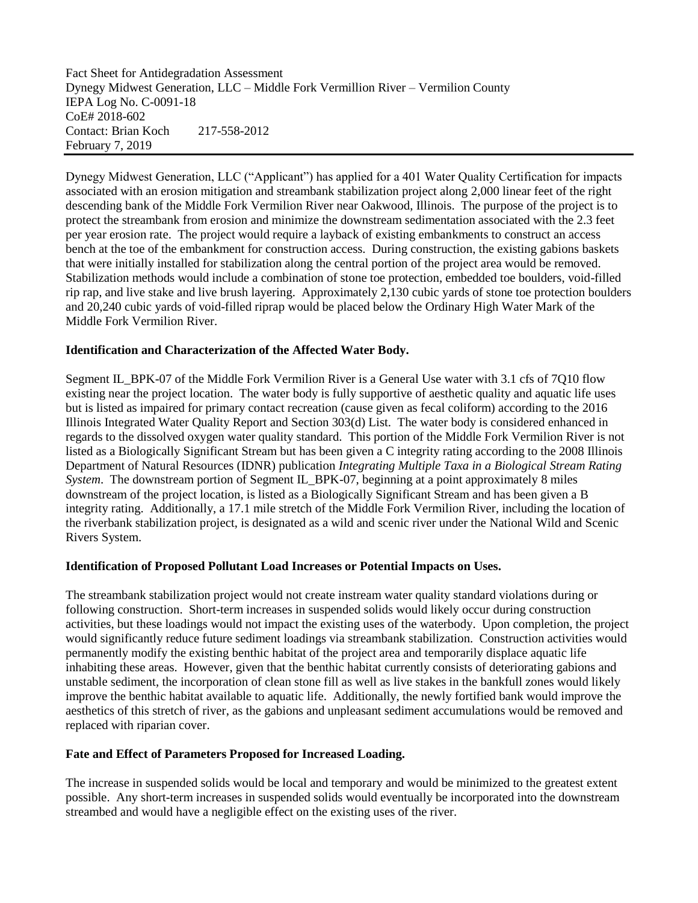Fact Sheet for Antidegradation Assessment Dynegy Midwest Generation, LLC – Middle Fork Vermillion River – Vermilion County IEPA Log No. C-0091-18 CoE# 2018-602 Contact: Brian Koch 217-558-2012 February 7, 2019

Dynegy Midwest Generation, LLC ("Applicant") has applied for a 401 Water Quality Certification for impacts associated with an erosion mitigation and streambank stabilization project along 2,000 linear feet of the right descending bank of the Middle Fork Vermilion River near Oakwood, Illinois. The purpose of the project is to protect the streambank from erosion and minimize the downstream sedimentation associated with the 2.3 feet per year erosion rate. The project would require a layback of existing embankments to construct an access bench at the toe of the embankment for construction access. During construction, the existing gabions baskets that were initially installed for stabilization along the central portion of the project area would be removed. Stabilization methods would include a combination of stone toe protection, embedded toe boulders, void-filled rip rap, and live stake and live brush layering. Approximately 2,130 cubic yards of stone toe protection boulders and 20,240 cubic yards of void-filled riprap would be placed below the Ordinary High Water Mark of the Middle Fork Vermilion River.

## **Identification and Characterization of the Affected Water Body.**

Segment IL\_BPK-07 of the Middle Fork Vermilion River is a General Use water with 3.1 cfs of 7Q10 flow existing near the project location. The water body is fully supportive of aesthetic quality and aquatic life uses but is listed as impaired for primary contact recreation (cause given as fecal coliform) according to the 2016 Illinois Integrated Water Quality Report and Section 303(d) List. The water body is considered enhanced in regards to the dissolved oxygen water quality standard. This portion of the Middle Fork Vermilion River is not listed as a Biologically Significant Stream but has been given a C integrity rating according to the 2008 Illinois Department of Natural Resources (IDNR) publication *Integrating Multiple Taxa in a Biological Stream Rating System*. The downstream portion of Segment IL\_BPK-07, beginning at a point approximately 8 miles downstream of the project location, is listed as a Biologically Significant Stream and has been given a B integrity rating. Additionally, a 17.1 mile stretch of the Middle Fork Vermilion River, including the location of the riverbank stabilization project, is designated as a wild and scenic river under the National Wild and Scenic Rivers System.

## **Identification of Proposed Pollutant Load Increases or Potential Impacts on Uses.**

The streambank stabilization project would not create instream water quality standard violations during or following construction. Short-term increases in suspended solids would likely occur during construction activities, but these loadings would not impact the existing uses of the waterbody. Upon completion, the project would significantly reduce future sediment loadings via streambank stabilization. Construction activities would permanently modify the existing benthic habitat of the project area and temporarily displace aquatic life inhabiting these areas. However, given that the benthic habitat currently consists of deteriorating gabions and unstable sediment, the incorporation of clean stone fill as well as live stakes in the bankfull zones would likely improve the benthic habitat available to aquatic life. Additionally, the newly fortified bank would improve the aesthetics of this stretch of river, as the gabions and unpleasant sediment accumulations would be removed and replaced with riparian cover.

## **Fate and Effect of Parameters Proposed for Increased Loading.**

The increase in suspended solids would be local and temporary and would be minimized to the greatest extent possible. Any short-term increases in suspended solids would eventually be incorporated into the downstream streambed and would have a negligible effect on the existing uses of the river.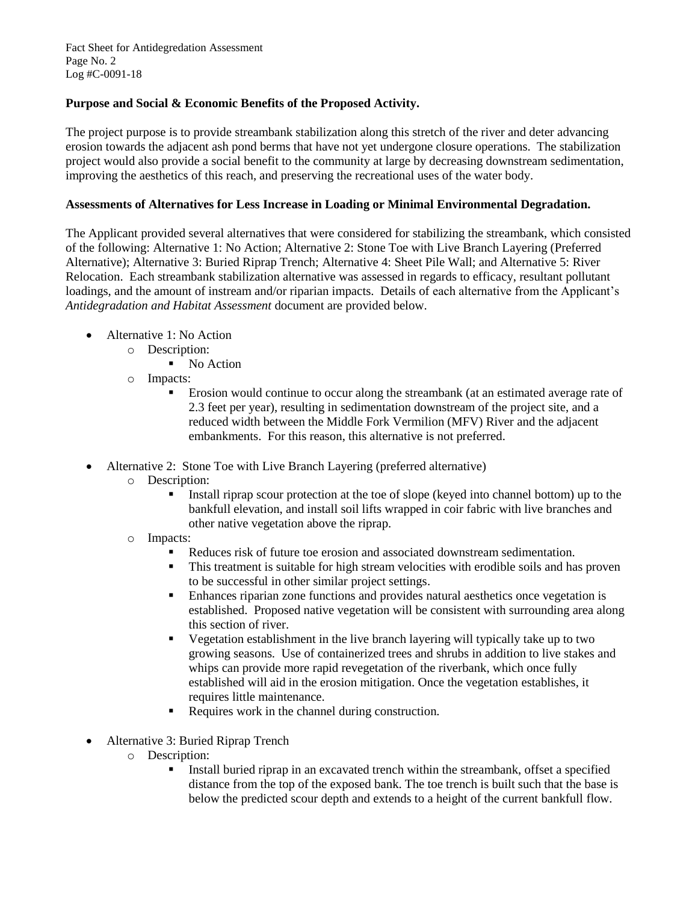Fact Sheet for Antidegredation Assessment Page No. 2 Log #C-0091-18

# **Purpose and Social & Economic Benefits of the Proposed Activity.**

The project purpose is to provide streambank stabilization along this stretch of the river and deter advancing erosion towards the adjacent ash pond berms that have not yet undergone closure operations. The stabilization project would also provide a social benefit to the community at large by decreasing downstream sedimentation, improving the aesthetics of this reach, and preserving the recreational uses of the water body.

## **Assessments of Alternatives for Less Increase in Loading or Minimal Environmental Degradation.**

The Applicant provided several alternatives that were considered for stabilizing the streambank, which consisted of the following: Alternative 1: No Action; Alternative 2: Stone Toe with Live Branch Layering (Preferred Alternative); Alternative 3: Buried Riprap Trench; Alternative 4: Sheet Pile Wall; and Alternative 5: River Relocation. Each streambank stabilization alternative was assessed in regards to efficacy, resultant pollutant loadings, and the amount of instream and/or riparian impacts. Details of each alternative from the Applicant's *Antidegradation and Habitat Assessment* document are provided below.

- Alternative 1: No Action
	- o Description:
		- No Action
	- o Impacts:
		- Erosion would continue to occur along the streambank (at an estimated average rate of 2.3 feet per year), resulting in sedimentation downstream of the project site, and a reduced width between the Middle Fork Vermilion (MFV) River and the adjacent embankments. For this reason, this alternative is not preferred.
- Alternative 2: Stone Toe with Live Branch Layering (preferred alternative)
	- o Description:
		- Install riprap scour protection at the toe of slope (keyed into channel bottom) up to the bankfull elevation, and install soil lifts wrapped in coir fabric with live branches and other native vegetation above the riprap.
	- o Impacts:
		- Reduces risk of future toe erosion and associated downstream sedimentation.
		- This treatment is suitable for high stream velocities with erodible soils and has proven to be successful in other similar project settings.
		- Enhances riparian zone functions and provides natural aesthetics once vegetation is established. Proposed native vegetation will be consistent with surrounding area along this section of river.
		- Vegetation establishment in the live branch layering will typically take up to two growing seasons. Use of containerized trees and shrubs in addition to live stakes and whips can provide more rapid revegetation of the riverbank, which once fully established will aid in the erosion mitigation. Once the vegetation establishes, it requires little maintenance.
		- Requires work in the channel during construction.
- Alternative 3: Buried Riprap Trench
	- o Description:
		- Install buried riprap in an excavated trench within the streambank, offset a specified distance from the top of the exposed bank. The toe trench is built such that the base is below the predicted scour depth and extends to a height of the current bankfull flow.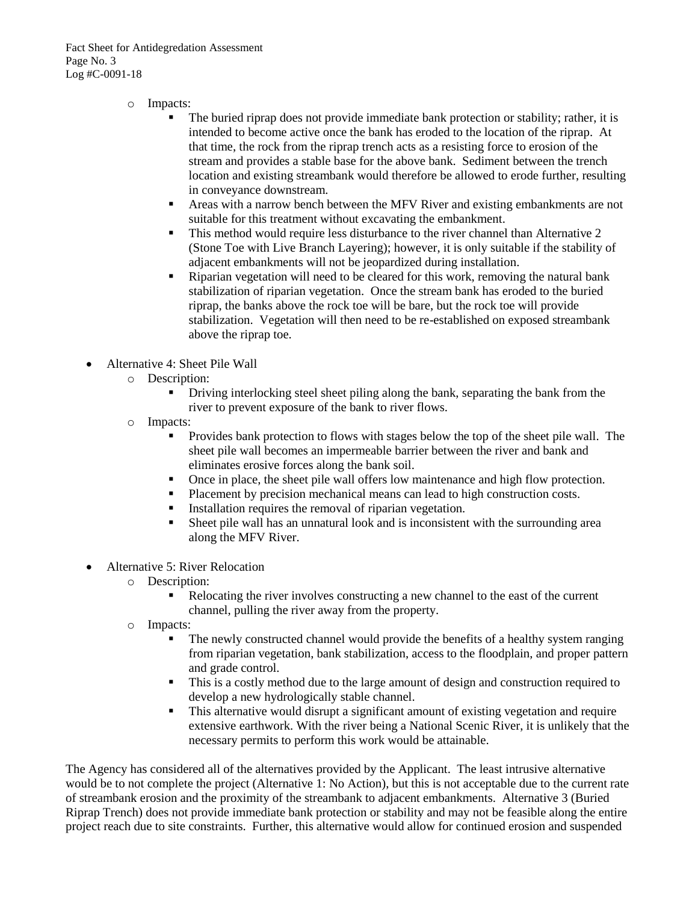Fact Sheet for Antidegredation Assessment Page No. 3 Log #C-0091-18

- o Impacts:
	- The buried riprap does not provide immediate bank protection or stability; rather, it is intended to become active once the bank has eroded to the location of the riprap. At that time, the rock from the riprap trench acts as a resisting force to erosion of the stream and provides a stable base for the above bank. Sediment between the trench location and existing streambank would therefore be allowed to erode further, resulting in conveyance downstream.
	- Areas with a narrow bench between the MFV River and existing embankments are not suitable for this treatment without excavating the embankment.
	- This method would require less disturbance to the river channel than Alternative 2 (Stone Toe with Live Branch Layering); however, it is only suitable if the stability of adjacent embankments will not be jeopardized during installation.
	- Riparian vegetation will need to be cleared for this work, removing the natural bank stabilization of riparian vegetation. Once the stream bank has eroded to the buried riprap, the banks above the rock toe will be bare, but the rock toe will provide stabilization. Vegetation will then need to be re-established on exposed streambank above the riprap toe.
- Alternative 4: Sheet Pile Wall
	- o Description:
		- Driving interlocking steel sheet piling along the bank, separating the bank from the river to prevent exposure of the bank to river flows.
	- o Impacts:
		- Provides bank protection to flows with stages below the top of the sheet pile wall. The sheet pile wall becomes an impermeable barrier between the river and bank and eliminates erosive forces along the bank soil.
		- Once in place, the sheet pile wall offers low maintenance and high flow protection.
		- Placement by precision mechanical means can lead to high construction costs.
		- Installation requires the removal of riparian vegetation.
		- Sheet pile wall has an unnatural look and is inconsistent with the surrounding area along the MFV River.
- Alternative 5: River Relocation
	- o Description:
		- Relocating the river involves constructing a new channel to the east of the current channel, pulling the river away from the property.
	- o Impacts:
		- The newly constructed channel would provide the benefits of a healthy system ranging from riparian vegetation, bank stabilization, access to the floodplain, and proper pattern and grade control.
		- This is a costly method due to the large amount of design and construction required to develop a new hydrologically stable channel.
		- **•** This alternative would disrupt a significant amount of existing vegetation and require extensive earthwork. With the river being a National Scenic River, it is unlikely that the necessary permits to perform this work would be attainable.

The Agency has considered all of the alternatives provided by the Applicant. The least intrusive alternative would be to not complete the project (Alternative 1: No Action), but this is not acceptable due to the current rate of streambank erosion and the proximity of the streambank to adjacent embankments. Alternative 3 (Buried Riprap Trench) does not provide immediate bank protection or stability and may not be feasible along the entire project reach due to site constraints. Further, this alternative would allow for continued erosion and suspended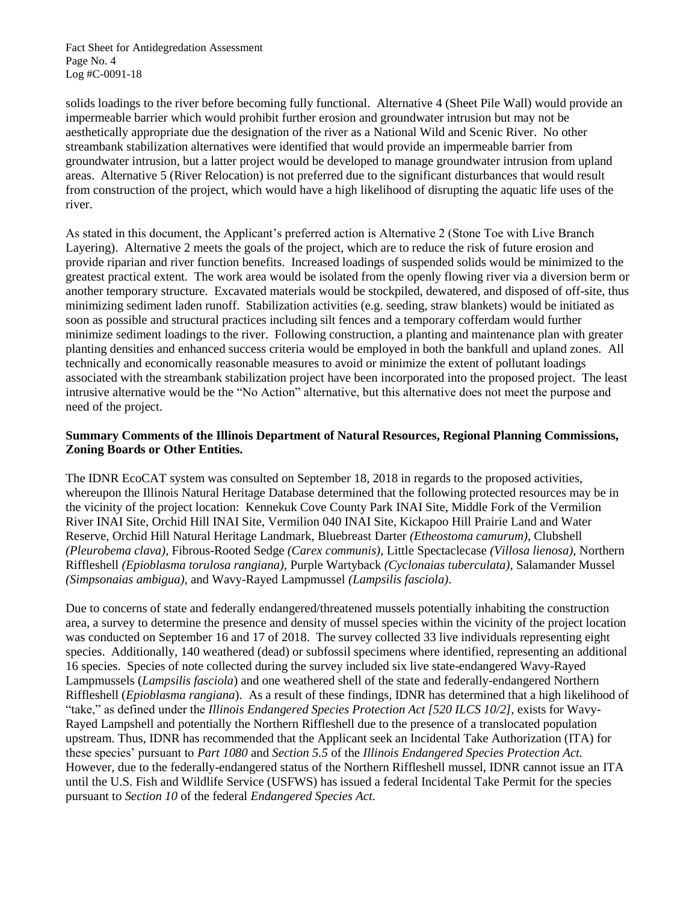Fact Sheet for Antidegredation Assessment Page No. 4 Log #C-0091-18

solids loadings to the river before becoming fully functional. Alternative 4 (Sheet Pile Wall) would provide an impermeable barrier which would prohibit further erosion and groundwater intrusion but may not be aesthetically appropriate due the designation of the river as a National Wild and Scenic River. No other streambank stabilization alternatives were identified that would provide an impermeable barrier from groundwater intrusion, but a latter project would be developed to manage groundwater intrusion from upland areas. Alternative 5 (River Relocation) is not preferred due to the significant disturbances that would result from construction of the project, which would have a high likelihood of disrupting the aquatic life uses of the river.

As stated in this document, the Applicant's preferred action is Alternative 2 (Stone Toe with Live Branch Layering). Alternative 2 meets the goals of the project, which are to reduce the risk of future erosion and provide riparian and river function benefits. Increased loadings of suspended solids would be minimized to the greatest practical extent. The work area would be isolated from the openly flowing river via a diversion berm or another temporary structure. Excavated materials would be stockpiled, dewatered, and disposed of off-site, thus minimizing sediment laden runoff. Stabilization activities (e.g. seeding, straw blankets) would be initiated as soon as possible and structural practices including silt fences and a temporary cofferdam would further minimize sediment loadings to the river. Following construction, a planting and maintenance plan with greater planting densities and enhanced success criteria would be employed in both the bankfull and upland zones. All technically and economically reasonable measures to avoid or minimize the extent of pollutant loadings associated with the streambank stabilization project have been incorporated into the proposed project. The least intrusive alternative would be the "No Action" alternative, but this alternative does not meet the purpose and need of the project.

# **Summary Comments of the Illinois Department of Natural Resources, Regional Planning Commissions, Zoning Boards or Other Entities.**

The IDNR EcoCAT system was consulted on September 18, 2018 in regards to the proposed activities, whereupon the Illinois Natural Heritage Database determined that the following protected resources may be in the vicinity of the project location: Kennekuk Cove County Park INAI Site, Middle Fork of the Vermilion River INAI Site, Orchid Hill INAI Site, Vermilion 040 INAI Site, Kickapoo Hill Prairie Land and Water Reserve, Orchid Hill Natural Heritage Landmark, Bluebreast Darter *(Etheostoma camurum)*, Clubshell *(Pleurobema clava),* Fibrous-Rooted Sedge *(Carex communis),* Little Spectaclecase *(Villosa lienosa),* Northern Riffleshell *(Epioblasma torulosa rangiana),* Purple Wartyback *(Cyclonaias tuberculata),* Salamander Mussel *(Simpsonaias ambigua)*, and Wavy-Rayed Lampmussel *(Lampsilis fasciola)*.

Due to concerns of state and federally endangered/threatened mussels potentially inhabiting the construction area, a survey to determine the presence and density of mussel species within the vicinity of the project location was conducted on September 16 and 17 of 2018. The survey collected 33 live individuals representing eight species. Additionally, 140 weathered (dead) or subfossil specimens where identified, representing an additional 16 species. Species of note collected during the survey included six live state-endangered Wavy-Rayed Lampmussels (*Lampsilis fasciola*) and one weathered shell of the state and federally-endangered Northern Riffleshell (*Epioblasma rangiana*). As a result of these findings, IDNR has determined that a high likelihood of "take," as defined under the *Illinois Endangered Species Protection Act [520 ILCS 10/2]*, exists for Wavy-Rayed Lampshell and potentially the Northern Riffleshell due to the presence of a translocated population upstream. Thus, IDNR has recommended that the Applicant seek an Incidental Take Authorization (ITA) for these species' pursuant to *Part 1080* and *Section 5.5* of the *Illinois Endangered Species Protection Act.* However, due to the federally-endangered status of the Northern Riffleshell mussel, IDNR cannot issue an ITA until the U.S. Fish and Wildlife Service (USFWS) has issued a federal Incidental Take Permit for the species pursuant to *Section 10* of the federal *Endangered Species Act*.